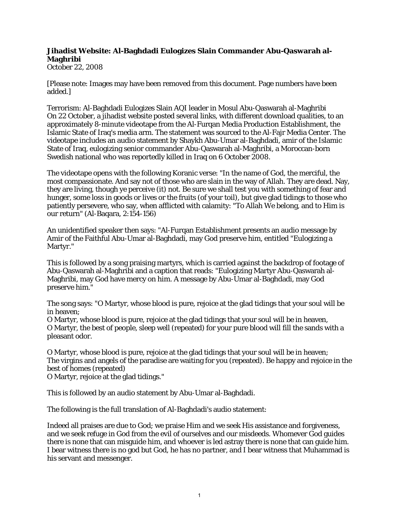## **Jihadist Website: Al-Baghdadi Eulogizes Slain Commander Abu-Qaswarah al-Maghribi**

October 22, 2008

[Please note: Images may have been removed from this document. Page numbers have been added.]

Terrorism: Al-Baghdadi Eulogizes Slain AQI leader in Mosul Abu-Qaswarah al-Maghribi On 22 October, a jihadist website posted several links, with different download qualities, to an approximately 8-minute videotape from the Al-Furqan Media Production Establishment, the Islamic State of Iraq's media arm. The statement was sourced to the Al-Fajr Media Center. The videotape includes an audio statement by Shaykh Abu-Umar al-Baghdadi, amir of the Islamic State of Iraq, eulogizing senior commander Abu-Qaswarah al-Maghribi, a Moroccan-born Swedish national who was reportedly killed in Iraq on 6 October 2008.

The videotape opens with the following Koranic verse: "In the name of God, the merciful, the most compassionate. And say not of those who are slain in the way of Allah. They are dead. Nay, they are living, though ye perceive (it) not. Be sure we shall test you with something of fear and hunger, some loss in goods or lives or the fruits (of your toil), but give glad tidings to those who patiently persevere, who say, when afflicted with calamity: "To Allah We belong, and to Him is our return" (Al-Baqara, 2:154-156)

An unidentified speaker then says: "Al-Furqan Establishment presents an audio message by Amir of the Faithful Abu-Umar al-Baghdadi, may God preserve him, entitled "Eulogizing a Martyr."

This is followed by a song praising martyrs, which is carried against the backdrop of footage of Abu-Qaswarah al-Maghribi and a caption that reads: "Eulogizing Martyr Abu-Qaswarah al-Maghribi, may God have mercy on him. A message by Abu-Umar al-Baghdadi, may God preserve him."

The song says: "O Martyr, whose blood is pure, rejoice at the glad tidings that your soul will be in heaven;

O Martyr, whose blood is pure, rejoice at the glad tidings that your soul will be in heaven, O Martyr, the best of people, sleep well (repeated) for your pure blood will fill the sands with a pleasant odor.

O Martyr, whose blood is pure, rejoice at the glad tidings that your soul will be in heaven; The virgins and angels of the paradise are waiting for you (repeated). Be happy and rejoice in the best of homes (repeated)

O Martyr, rejoice at the glad tidings."

This is followed by an audio statement by Abu-Umar al-Baghdadi.

The following is the full translation of Al-Baghdadi's audio statement:

Indeed all praises are due to God; we praise Him and we seek His assistance and forgiveness, and we seek refuge in God from the evil of ourselves and our misdeeds. Whomever God guides there is none that can misguide him, and whoever is led astray there is none that can guide him. I bear witness there is no god but God, he has no partner, and I bear witness that Muhammad is his servant and messenger.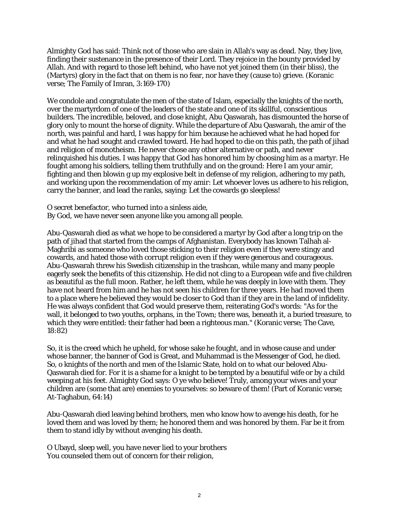Almighty God has said: Think not of those who are slain in Allah's way as dead. Nay, they live, finding their sustenance in the presence of their Lord. They rejoice in the bounty provided by Allah. And with regard to those left behind, who have not yet joined them (in their bliss), the (Martyrs) glory in the fact that on them is no fear, nor have they (cause to) grieve. (Koranic verse; The Family of Imran, 3:169-170)

We condole and congratulate the men of the state of Islam, especially the knights of the north, over the martyrdom of one of the leaders of the state and one of its skillful, conscientious builders. The incredible, beloved, and close knight, Abu Qaswarah, has dismounted the horse of glory only to mount the horse of dignity. While the departure of Abu Qaswarah, the amir of the north, was painful and hard, I was happy for him because he achieved what he had hoped for and what he had sought and crawled toward. He had hoped to die on this path, the path of jihad and religion of monotheism. He never chose any other alternative or path, and never relinquished his duties. I was happy that God has honored him by choosing him as a martyr. He fought among his soldiers, telling them truthfully and on the ground: Here I am your amir, fighting and then blowin g up my explosive belt in defense of my religion, adhering to my path, and working upon the recommendation of my amir: Let whoever loves us adhere to his religion, carry the banner, and lead the ranks, saying: Let the cowards go sleepless!

O secret benefactor, who turned into a sinless aide, By God, we have never seen anyone like you among all people.

Abu-Qaswarah died as what we hope to be considered a martyr by God after a long trip on the path of jihad that started from the camps of Afghanistan. Everybody has known Talhah al-Maghribi as someone who loved those sticking to their religion even if they were stingy and cowards, and hated those with corrupt religion even if they were generous and courageous. Abu-Qaswarah threw his Swedish citizenship in the trashcan, while many and many people eagerly seek the benefits of this citizenship. He did not cling to a European wife and five children as beautiful as the full moon. Rather, he left them, while he was deeply in love with them. They have not heard from him and he has not seen his children for three years. He had moved them to a place where he believed they would be closer to God than if they are in the land of infidelity. He was always confident that God would preserve them, reiterating God's words: "As for the wall, it belonged to two youths, orphans, in the Town; there was, beneath it, a buried treasure, to which they were entitled: their father had been a righteous man." (Koranic verse; The Cave, 18:82)

So, it is the creed which he upheld, for whose sake he fought, and in whose cause and under whose banner, the banner of God is Great, and Muhammad is the Messenger of God, he died. So, o knights of the north and men of the Islamic State, hold on to what our beloved Abu-Qaswarah died for. For it is a shame for a knight to be tempted by a beautiful wife or by a child weeping at his feet. Almighty God says: O ye who believe! Truly, among your wives and your children are (some that are) enemies to yourselves: so beware of them! (Part of Koranic verse; At-Taghabun, 64:14)

Abu-Qaswarah died leaving behind brothers, men who know how to avenge his death, for he loved them and was loved by them; he honored them and was honored by them. Far be it from them to stand idly by without avenging his death.

O Ubayd, sleep well, you have never lied to your brothers You counseled them out of concern for their religion,